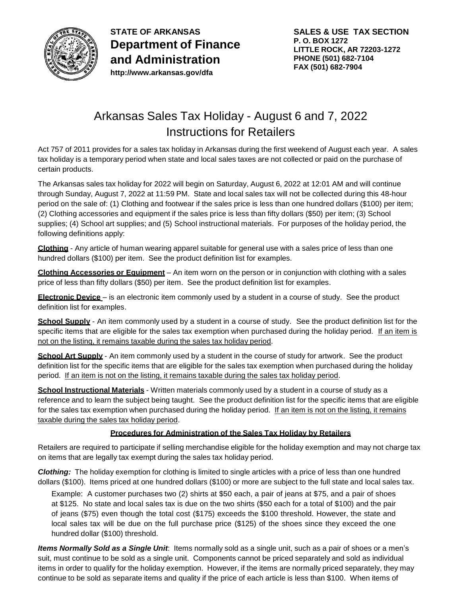

**STATE OF ARKANSAS Department of Finance and Administration <http://www.arkansas.gov/dfa>**

# Arkansas Sales Tax Holiday - August 6 and 7, 2022 Instructions for Retailers

Act 757 of 2011 provides for a sales tax holiday in Arkansas during the first weekend of August each year. A sales tax holiday is a temporary period when state and local sales taxes are not collected or paid on the purchase of certain products.

The Arkansas sales tax holiday for 2022 will begin on Saturday, August 6, 2022 at 12:01 AM and will continue through Sunday, August 7, 2022 at 11:59 PM. State and local sales tax will not be collected during this 48-hour period on the sale of: (1) Clothing and footwear if the sales price is less than one hundred dollars (\$100) per item; (2) Clothing accessories and equipment if the sales price is less than fifty dollars (\$50) per item; (3) School supplies; (4) School art supplies; and (5) School instructional materials. For purposes of the holiday period, the following definitions apply:

**Clothing** - Any article of human wearing apparel suitable for general use with a sales price of less than one hundred dollars (\$100) per item. See the product definition list for examples.

**Clothing Accessories or Equipment** – An item worn on the person or in conjunction with clothing with a sales price of less than fifty dollars (\$50) per item. See the product definition list for examples.

**Electronic Device** – is an electronic item commonly used by a student in a course of study. See the product definition list for examples.

**School Supply** - An item commonly used by a student in a course of study. See the product definition list for the specific items that are eligible for the sales tax exemption when purchased during the holiday period. If an item is not on the listing, it remains taxable during the sales tax holiday period.

**School Art Supply** - An item commonly used by a student in the course of study for artwork. See the product definition list for the specific items that are eligible for the sales tax exemption when purchased during the holiday period. If an item is not on the listing, it remains taxable during the sales tax holiday period.

**School Instructional Materials** - Written materials commonly used by a student in a course of study as a reference and to learn the subject being taught. See the product definition list for the specific items that are eligible for the sales tax exemption when purchased during the holiday period. If an item is not on the listing, it remains taxable during the sales tax holiday period.

### **Procedures for Administration of the Sales Tax Holiday by Retailers**

Retailers are required to participate if selling merchandise eligible for the holiday exemption and may not charge tax on items that are legally tax exempt during the sales tax holiday period.

*Clothing:* The holiday exemption for clothing is limited to single articles with a price of less than one hundred dollars (\$100). Items priced at one hundred dollars (\$100) or more are subject to the full state and local sales tax.

Example: A customer purchases two (2) shirts at \$50 each, a pair of jeans at \$75, and a pair of shoes at \$125. No state and local sales tax is due on the two shirts (\$50 each for a total of \$100) and the pair of jeans (\$75) even though the total cost (\$175) exceeds the \$100 threshold. However, the state and local sales tax will be due on the full purchase price (\$125) of the shoes since they exceed the one hundred dollar (\$100) threshold.

*Items Normally Sold as a Single Unit*: Items normally sold as a single unit, such as a pair of shoes or a men's suit, must continue to be sold as a single unit. Components cannot be priced separately and sold as individual items in order to qualify for the holiday exemption. However, if the items are normally priced separately, they may continue to be sold as separate items and quality if the price of each article is less than \$100. When items of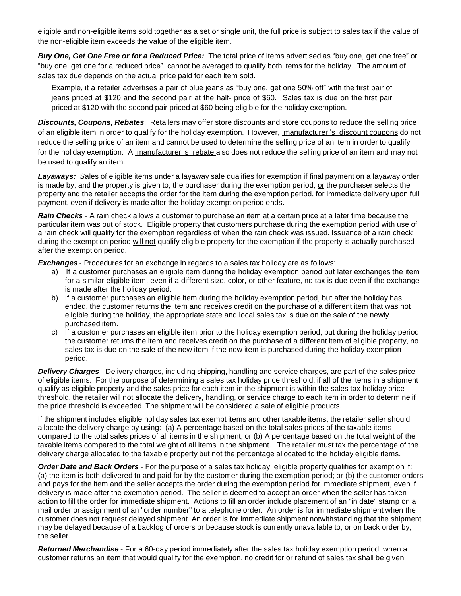eligible and non-eligible items sold together as a set or single unit, the full price is subject to sales tax if the value of the non-eligible item exceeds the value of the eligible item.

*Buy One, Get One Free or for a Reduced Price:* The total price of items advertised as "buy one, get one free" or "buy one, get one for a reduced price" cannot be averaged to qualify both items for the holiday. The amount of sales tax due depends on the actual price paid for each item sold.

Example, it a retailer advertises a pair of blue jeans as "buy one, get one 50% off" with the first pair of jeans priced at \$120 and the second pair at the half- price of \$60. Sales tax is due on the first pair priced at \$120 with the second pair priced at \$60 being eligible for the holiday exemption.

*Discounts, Coupons, Rebates*: Retailers may offer store discounts and store coupons to reduce the selling price of an eligible item in order to qualify for the holiday exemption. However, manufacturer 's discount coupons do not reduce the selling price of an item and cannot be used to determine the selling price of an item in order to qualify for the holiday exemption. A manufacturer 's rebate also does not reduce the selling price of an item and may not be used to qualify an item.

*Layaways: S*ales of eligible items under a layaway sale qualifies for exemption if final payment on a layaway order is made by, and the property is given to, the purchaser during the exemption period; or the purchaser selects the property and the retailer accepts the order for the item during the exemption period, for immediate delivery upon full payment, even if delivery is made after the holiday exemption period ends.

*Rain Checks* - A rain check allows a customer to purchase an item at a certain price at a later time because the particular item was out of stock. Eligible property that customers purchase during the exemption period with use of a rain check will qualify for the exemption regardless of when the rain check was issued. Issuance of a rain check during the exemption period will not qualify eligible property for the exemption if the property is actually purchased after the exemption period.

*Exchanges* - Procedures for an exchange in regards to a sales tax holiday are as follows:

- a) If a customer purchases an eligible item during the holiday exemption period but later exchanges the item for a similar eligible item, even if a different size, color, or other feature, no tax is due even if the exchange is made after the holiday period.
- b) If a customer purchases an eligible item during the holiday exemption period, but after the holiday has ended, the customer returns the item and receives credit on the purchase of a different item that was not eligible during the holiday, the appropriate state and local sales tax is due on the sale of the newly purchased item.
- c) If a customer purchases an eligible item prior to the holiday exemption period, but during the holiday period the customer returns the item and receives credit on the purchase of a different item of eligible property, no sales tax is due on the sale of the new item if the new item is purchased during the holiday exemption period.

*Delivery Charges* - Delivery charges, including shipping, handling and service charges, are part of the sales price of eligible items. For the purpose of determining a sales tax holiday price threshold, if all of the items in a shipment qualify as eligible property and the sales price for each item in the shipment is within the sales tax holiday price threshold, the retailer will not allocate the delivery, handling, or service charge to each item in order to determine if the price threshold is exceeded. The shipment will be considered a sale of eligible products.

If the shipment includes eligible holiday sales tax exempt items and other taxable items, the retailer seller should allocate the delivery charge by using: (a) A percentage based on the total sales prices of the taxable items compared to the total sales prices of all items in the shipment; or (b) A percentage based on the total weight of the taxable items compared to the total weight of all items in the shipment. The retailer must tax the percentage of the delivery charge allocated to the taxable property but not the percentage allocated to the holiday eligible items.

*Order Date and Back Orders* - For the purpose of a sales tax holiday, eligible property qualifies for exemption if: (a).the item is both delivered to and paid for by the customer during the exemption period; or (b) the customer orders and pays for the item and the seller accepts the order during the exemption period for immediate shipment, even if delivery is made after the exemption period. The seller is deemed to accept an order when the seller has taken action to fill the order for immediate shipment. Actions to fill an order include placement of an "in date" stamp on a mail order or assignment of an "order number" to a telephone order. An order is for immediate shipment when the customer does not request delayed shipment. An order is for immediate shipment notwithstanding that the shipment may be delayed because of a backlog of orders or because stock is currently unavailable to, or on back order by, the seller.

*Returned Merchandise* - For a 60-day period immediately after the sales tax holiday exemption period, when a customer returns an item that would qualify for the exemption, no credit for or refund of sales tax shall be given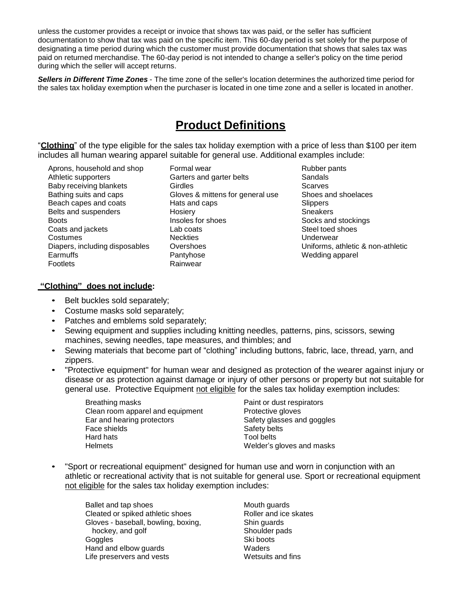unless the customer provides a receipt or invoice that shows tax was paid, or the seller has sufficient documentation to show that tax was paid on the specific item. This 60-day period is set solely for the purpose of designating a time period during which the customer must provide documentation that shows that sales tax was paid on returned merchandise. The 60-day period is not intended to change a seller's policy on the time period during which the seller will accept returns.

*Sellers in Different Time Zones* - The time zone of the seller's location determines the authorized time period for the sales tax holiday exemption when the purchaser is located in one time zone and a seller is located in another.

## **Product Definitions**

"**Clothing**" of the type eligible for the sales tax holiday exemption with a price of less than \$100 per item includes all human wearing apparel suitable for general use. Additional examples include:

Aprons, household and shop Athletic supporters Baby receiving blankets Bathing suits and caps Beach capes and coats Belts and suspenders **Boots** Coats and jackets **Costumes** Diapers, including disposables Earmuffs Footlets

Formal wear Garters and garter belts **Girdles** Gloves & mittens for general use Hats and caps **Hosiery** Insoles for shoes Lab coats **Neckties Overshoes** Pantyhose Rainwear

Rubber pants Sandals **Scarves** Shoes and shoelaces **Slippers** Sneakers Socks and stockings Steel toed shoes Underwear Uniforms, athletic & non-athletic Wedding apparel

### **"Clothing" does not include:**

- Belt buckles sold separately;
- Costume masks sold separately;
- Patches and emblems sold separately;
- Sewing equipment and supplies including knitting needles, patterns, pins, scissors, sewing machines, sewing needles, tape measures, and thimbles; and
- Sewing materials that become part of "clothing" including buttons, fabric, lace, thread, yarn, and zippers.
- "Protective equipment" for human wear and designed as protection of the wearer against injury or disease or as protection against damage or injury of other persons or property but not suitable for general use. Protective Equipment not eligible for the sales tax holiday exemption includes:

| Breathing masks                  | Paint or dust respirators  |
|----------------------------------|----------------------------|
| Clean room apparel and equipment | Protective gloves          |
| Ear and hearing protectors       | Safety glasses and goggles |
| Face shields                     | Safety belts               |
| Hard hats                        | Tool belts                 |
| <b>Helmets</b>                   | Welder's gloves and masks  |

• "Sport or recreational equipment" designed for human use and worn in conjunction with an athletic or recreational activity that is not suitable for general use. Sport or recreational equipment not eligible for the sales tax holiday exemption includes:

Ballet and tap shoes Cleated or spiked athletic shoes Gloves - baseball, bowling, boxing, hockey, and golf **Goggles** Hand and elbow guards Life preservers and vests

Mouth guards Roller and ice skates Shin guards Shoulder pads Ski boots **Waders** Wetsuits and fins